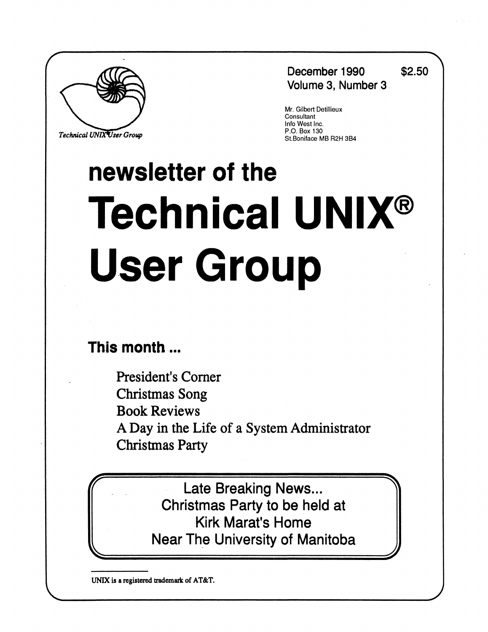

**Technical UNIX User Group** 

**December 1990 \$2.50 Volume 3, Number 3** 

**= %** 

**=J** 

Mr. Gilbert Detillieux **Consultant** Info West Inc.<br>P.O. Box 130 St.Boniface MB R2H 3B4

# **newsletter of the Technical UNIX® User Group**

# **This month...**

**f=** 

**L=** 

**President's Corner Christmas Song Book Reviews A Day in the Life of a System Administrator Christmas Party** 

> **Late Breaking News... Christmas Party to be held at Kirk Marat's Home Near The University of Manitoba**

**UNIX is a registered trademark of AT&T.**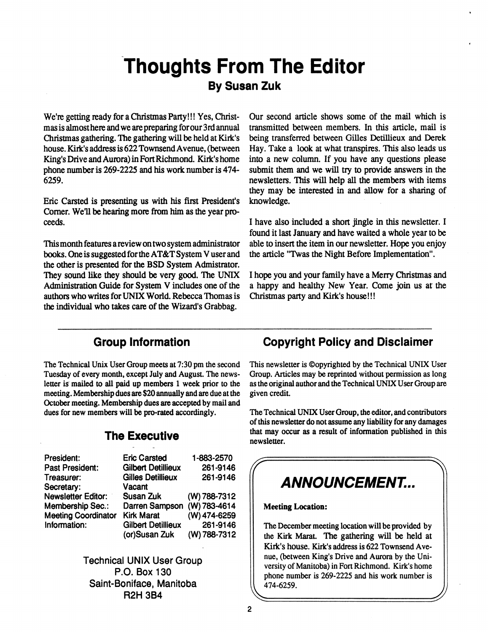# **Thoughts From The Editor By Susan Zuk**

**We're getting ready for a Christmas Party!!! Yes, Christmas is almosthere and we are preparing for our 3rd annual Christmas gathering. The gathering will be held at Kirk's house. Kiik's address is 622 Townsend Avenue, (between King's Drive and Aurora) in Fort Richmond. Kiik's home phone number is 269-2225 and his work number is 474- 6259.** 

**Eric Carsted is presenting us with his first President's Corner. Well be hearing more from him as the year proceeds.** 

**This month features a review on two system administrator books. One is suggested for the AT&T System V user and the other is presented for the BSD System Admistrator. They sound like they should be very good. The UNIX Administration Guide for System V includes one of the authors who writes for UNIX World. Rebecca Thomas is the individual who takes care of the Wizard's Grabbag.** 

**Our second article shows some of the mail which is transmitted between members. In this article, mail is being transferred between Gilles Detillieux and Derek Hay. Take a look at what transpires. This also leads us into a new column. If you have any questions please submit them and we will try to provide answers in the**  newsletters. This will help all the members with items **they may be interested in and allow for a sharing of knowledge.** 

**I have also included a short jingle in this newsletter. I found it last January and have waited a whole year to be able to insert the item in our newsletter. Hope you enjoy the article "Twas the Night Before Implementation".** 

**I hope you and your family have a Merry Christmas and a happy and healthy New Year. Come join us at the Christmas party and Kirk's house!!!** 

## **Group Information**

**The Technical Unix User Group meets at 7:30 pm the second Tuesday of every month, except July and August. The news**letter is mailed to all paid up members 1 week prior to the **meeting. Membership dues are \$20 annually and are due at the October meeting. Membership dues are accepted by mail and dues for new members will be pro-rated accordingly.** 

## **The Executive**

| President:                 | <b>Eric Carsted</b>         | 1-883-2570   |
|----------------------------|-----------------------------|--------------|
| <b>Past President:</b>     | <b>Gilbert Detillieux</b>   | 261-9146     |
| Treasurer:                 | <b>Gilles Detillieux</b>    | 261-9146     |
| Secretary:                 | Vacant                      |              |
| <b>Newsletter Editor:</b>  | Susan Zuk                   | (W) 788-7312 |
| <b>Membership Sec.:</b>    | Darren Sampson (W) 783-4614 |              |
| <b>Meeting Coordinator</b> | <b>Kirk Marat</b>           | (W) 474-6259 |
| Information:               | <b>Gilbert Detillieux</b>   | 261-9146     |
|                            | (or)Susan Zuk               | (W) 788-7312 |

**Technical UNIX User Group P.O. Box 130 Saint-Boniface, Manitoba R2H 3B4** 

## **Copyright Policy and Disclaimer**

**This newsletter is ©opyrighted by the Technical UNIX User Group. Articles may be reprinted without permission as long as the original author and the Technical UNIX User Group are given credit.** 

**The Technical UNIX User Group, the editor, and contributors of this newsletter do not assume any liability for any damages that may occur as a result of information published in this newsletter.** 

# **(T ^ ANNOUNCEMENT..**

**Meeting Location:** 

**The December meeting location will be provided by the Kirk Marat. The gathering will be held at Kirk's house. Kirk's address is 622 Townsend Avenue, (between King's Drive and Aurora by the University of Manitoba) in Fort Richmond. Kirk's home phone number is 269-2225 and his work number is vv<sup>474</sup> 6259 -** *J)* 

**-**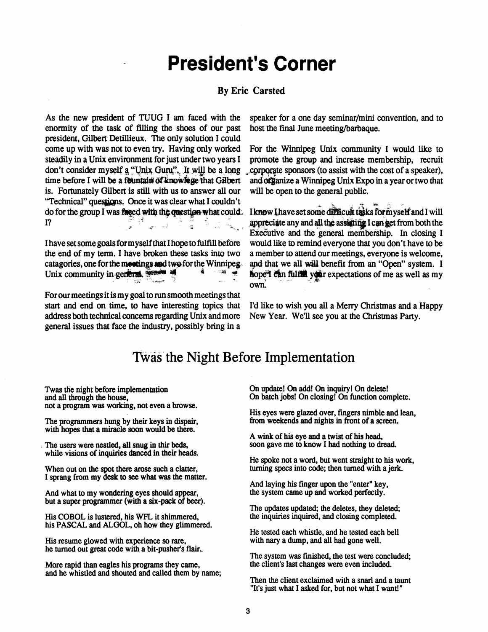# **President's Corner**

#### **By Eric Carsted**

**As the new president of TUUG I am faced with the enormity of the task of filling the shoes of our past president, Gilbert Detillieux. The only solution I could come up with was not to even try. Having only worked steadily in a Unix environment for just under two years I**  don't consider myself a "Unix Guru". It will be a long **time before I will be a fountain of knowfege that Gilbert is. Fortunately Gilbert is still with us to answer all our 'Technical" quesjieps. Once it was clear what I couldn't do for the group I was fased with the question what could. I? , Ji'\*** *^* **J** *}* **!** *i u* **4....** 

**I have set some goals for myself that I hope to fulfill before the end of my term. I have broken these tasks into two catagories, one for the meetings aad two for the Winnipeg**  Unix community in general, *^* **§ \*** *"<sup>m</sup> J* 

**For our meetings it is my goal to run smooth meetings that start and end on time, to have interesting topics that address both technical concerns regarding Unix and more general issues that face the industry, possibly bring in a**  **speaker for a one day seminar/mini convention, and to host the final June meeting/barbaque.** 

**For the Winnipeg Unix community I would like to promote the group and increase membership, recruit ,2cpporfte sponsors (to assist with the cost of a speaker), and organize a Winnipeg Unix Expo in a year or two that will be open to the general public.** 

I know I have set some difficult tasks for myself and I will appreciate any and all the assisting I can get from both the **Executive and the general membership. In closing I would like to remind everyone that you don't have to be a member to attend our meetings, everyone is welcome,**  and that we all will benefit from an "Open" system. I **flope<sup>r</sup> can fulful your expectations of me as well as my own!** 

**I'd like to wish you all a Merry Christmas and a Happy New Year. We'll see you at the Christmas Party.** 

## **Tvvas the Night Before Implementation**

**Twas the night before implementation and all through the house, not a program was working, not even a browse.** 

**The programmers hung by their keys in dispair, with hopes that a miracle soon would be there.** 

**The users were nestled, all snug in thir beds, while visions of inquiries danced in their heads.** 

**When out on the spot there arose such a clatter, I sprang from my desk to see what was the matter.** 

**And what to my wondering eyes should appear, but a super programmer (with a six-pack of beer).** 

**His COBOL is lustered, his WFL it shimmered, his PASCAL and ALGOL, oh how they glimmered.** 

**His resume glowed with experience so rare, he turned out great code with a bit-pusher's flair.** 

**More rapid than eagles his programs they came, and he whistled and shouted and called them by name;**  **On update! On add! On inquiry! On delete! On batch jobs! On closing! On function complete.** 

**His eyes were glazed over, fingers nimble and lean, from weekends and nights in front of a screen.** 

**A wink of his eye and a twist of his head, soon gave me to know I had nothing to dread.** 

**He spoke not a word, but went straight to his work, turning specs into code; then turned with a jerk.** 

**And laying his finger upon the "enter" key, the system came up and worked perfectly.** 

**The updates updated; the deletes, they deleted; the inquiries inquired, and closing completed.** 

**He tested each whistle, and he tested each bell with nary a dump, and all had gone well.** 

**The system was finished, the test were concluded; the client's last changes were even included.** 

**Then the client exclaimed with a snarl and a taunt "It's just what I asked for, but not what I want!"**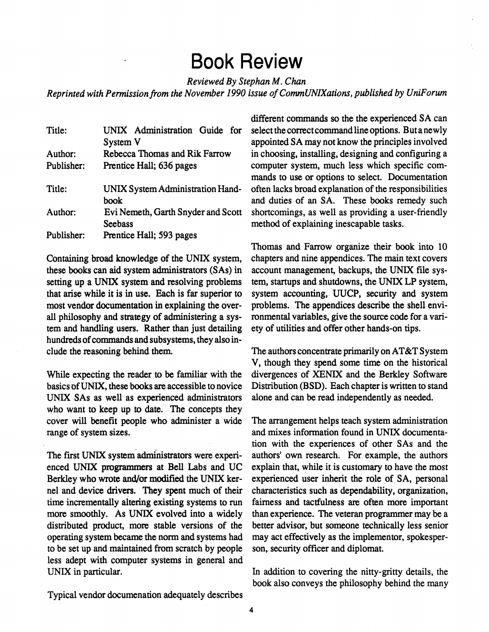# **Book Review**

*Reviewed By Stephan* **M.** *Chan* 

*Reprinted with Permission from the November 1990 issue ofComrnUNIXations, published by UniForwn* 

| Title:     | UNIX Administration Guide for      |  |  |  |  |
|------------|------------------------------------|--|--|--|--|
|            | System V                           |  |  |  |  |
| Author:    | Rebecca Thomas and Rik Farrow      |  |  |  |  |
| Publisher: | Prentice Hall; 636 pages           |  |  |  |  |
| Title:     | UNIX System Administration Hand-   |  |  |  |  |
|            | book                               |  |  |  |  |
| Author:    | Evi Nemeth, Garth Snyder and Scott |  |  |  |  |
|            | <b>Seebass</b>                     |  |  |  |  |
| Publisher: | Prentice Hall; 593 pages           |  |  |  |  |

**Containing broad knowledge of the UNIX system, these books can aid system administrators (SAs) in setting up a UNIX system and resolving problems that arise while it is in use. Each is far superior to most vendor documentation in explaining the overall philosophy and strategy of administering a system and handling users. Rather than just detailing hundreds of commands and subsystems, they also include the reasoning behind them.** 

**While expecting the reader to be familiar with the basics of UNIX, these books are accessible to novice UNIX SAs as well as experienced administrators who want to keep up to date. The concepts they cover will benefit people who administer a wide range of system sizes.** 

**The first UNIX system administrators were experienced UNIX programmers at Bell Labs and UC Berkley who wrote and/or modified the UNIX kernel and device drivers. They spent much of their time incrementally altering existing systems to run more smoothly. As UNIX evolved into a widely distributed product, more stable versions of the operating system became the norm and systems had to be set up and maintained from scratch by people less adept with computer systems in general and UNIX in particular.** 

**different commands so the the experienced SA can select the correct command line options. But a newly**  appointed SA may not know the principles involved **in choosing, installing, designing and configuring a computer system, much less which specific commands to use or options to select. Documentation often lacks broad explanation of the responsibilities and duties of an SA. These books remedy such shortcomings, as well as providing a user-friendly method of explaining inescapable tasks.** 

**Thomas and Farrow organize their book into 10 chapters and nine appendices. The main text covers account management, backups, the UNIX file system, startups and shutdowns, the UNIX LP system, system accounting, UUCP, security and system problems. The appendices describe the shell environmental variables, give the source code for a variety of utilities and offer other hands-on tips.** 

**The authors concentrate primarily on AT&T System V, though they spend some time on the historical divergences of XENIX and the Berkley Software Distribution (BSD). Each chapter is written to stand alone and can be read independently as needed.** 

**The arrangement helps teach system administration and mixes information found in UNIX documentation with the experiences of other SAs and the authors<sup>1</sup> own research. For example, the authors explain that, while it is customary to have the most experienced user inherit the role of SA, personal characteristics such as dependability, organization, fairness and tactfulness are often more important than experience. The veteran programmer may be a better advisor, but someone technically less senior may act effectively as the implementor, spokesperson, security officer and diplomat.** 

**In addition to covering the nitty-gritty details, the book also conveys the philosophy behind the many** 

**Typical vendor documenation adequately describes**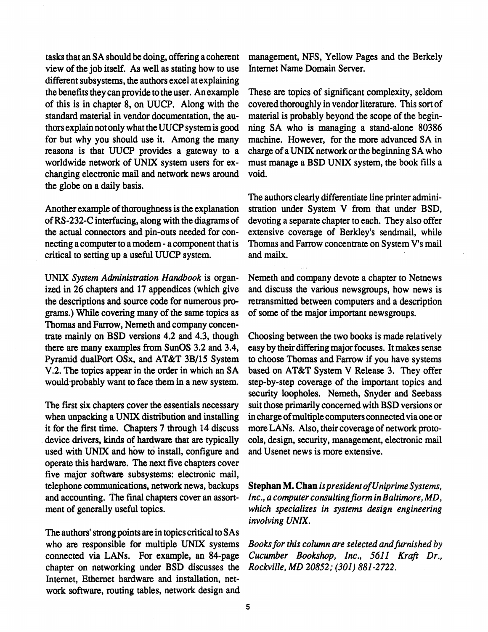**tasks that an S A should be doing, offering a coherent view of the job itself. As well as stating how to use different subsystems, the authors excel at explaining the benefits they can provide to the user. An example of this is in chapter 8, on UUCP. Along with the standard material in vendor documentation, the authors explain not only what the UUCP system is good for but why you should use it. Among the many reasons is that UUCP provides a gateway to a worldwide network of UNIX system users for exchanging electronic mail and network news around the globe on a daily basis.** 

**Another example of thoroughness is the explanation of RS-232-C interfacing, along with the diagrams of the actual connectors and pin-outs needed for connecting a computer to a modem - a component that is critical to setting up a useful UUCP system.** 

UNIX *System Administration Handbook* is organized **in 26 chapters and 17 appendices (which give the descriptions and source code for numerous programs.) While covering many of the same topics as Thomas and Farrow, Nemeth and company concentrate mainly on BSD versions 4.2 and 4.3, though there are many examples from SunOS 3.2 and 3.4, Pyramid dualPort OSx, and AT&T 3B/15 System**  V.2. The topics appear in the order in which an SA would probably want to face them in a new system.

**The first six chapters cover the essentials necessary when unpacking a UNIX distribution and installing it for the first time. Chapters 7 through 14 discuss device drivers, kinds of hardware that are typically used with UNIX and how to install, configure and operate this hardware. The next five chapters cover five major software subsystems: electronic mail, telephone communications, network news, backups and accounting. The final chapters cover an assortment of generally useful topics.** 

The authors' strong points are in topics critical to SAs **who are responsible for multiple UNIX systems connected via LANs. For example, an 84-page chapter on networking under BSD discusses the Internet, Ethernet hardware and installation, network software, routing tables, network design and** 

**management, NFS, Yellow Pages and the Berkely Internet Name Domain Server.** 

**These are topics of significant complexity, seldom covered thoroughly in vendor literature. This sort of material is probably beyond the scope of the beginning SA who is managing a stand-alone 80386 machine. However, for the more advanced SA in**  charge of a UNIX network or the beginning SA who **must manage a BSD UNIX system, the book fills a void.** 

**The authors clearly differentiate line printer administration under System V from that under BSD, devoting a separate chapter to each. They also offer extensive coverage of Berkley's sendmail, while Thomas and Farrow concentrate on System V's mail and mailx.** 

**Nemeth and company devote a chapter to Netnews and discuss the various newsgroups, how news is retransmitted between computers and a description of some of the major important newsgroups.** 

**Choosing between the two books is made relatively easy by their differing major focuses. It makes sense to choose Thomas and Farrow if you have systems based on AT&T System V Release 3. They offer step-by-step coverage of the important topics and security loopholes. Nemeth, Snyder and Seebass suit those primarily concerned with BSD versions or in charge of multiple computers connected via one or more LANs. Also, their coverage of network protocols, design, security, management, electronic mail and Usenet news is more extensive.** 

**Stephan M. Chan** *is president of Uniprime Systems, Inc., a computer consulting fiorm in Baltimore, MD, which specializes in systems design engineering involving UNIX.* 

*Books for this column are selected and furnished by Cucumber Bookshop, Inc., 5611 Kraft Dr., Rockville, MD 20852; (301) 881-2722.*